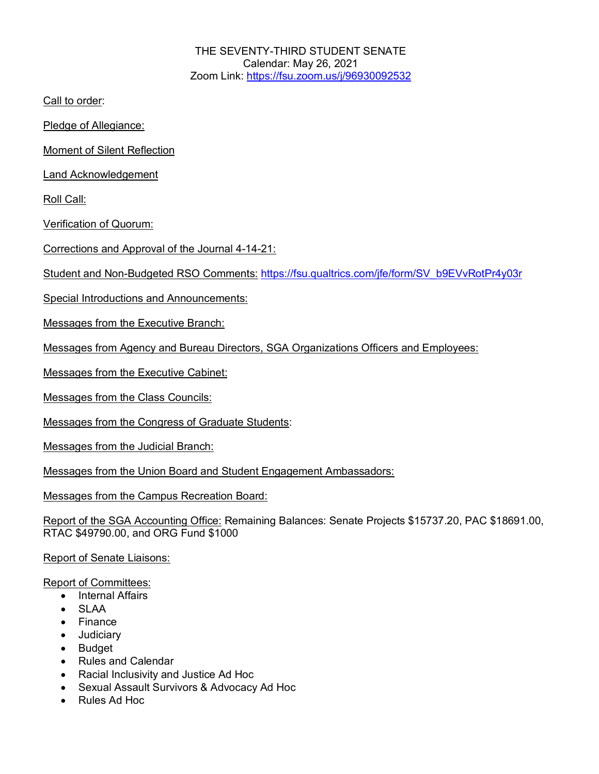THE SEVENTY-THIRD STUDENT SENATE Calendar: May 26, 2021 Zoom Link: https://fsu.zoom.us/j/96930092532

Call to order:

Pledge of Allegiance:

Moment of Silent Reflection

Land Acknowledgement

Roll Call:

Verification of Quorum:

Corrections and Approval of the Journal 4-14-21:

Student and Non-Budgeted RSO Comments: https://fsu.qualtrics.com/jfe/form/SV\_b9EVvRotPr4y03r

Special Introductions and Announcements:

Messages from the Executive Branch:

Messages from Agency and Bureau Directors, SGA Organizations Officers and Employees:

Messages from the Executive Cabinet:

Messages from the Class Councils:

Messages from the Congress of Graduate Students:

Messages from the Judicial Branch:

Messages from the Union Board and Student Engagement Ambassadors:

Messages from the Campus Recreation Board:

Report of the SGA Accounting Office: Remaining Balances: Senate Projects \$15737.20, PAC \$18691.00, RTAC \$49790.00, and ORG Fund \$1000

Report of Senate Liaisons:

Report of Committees:

- Internal Affairs
- SLAA
- Finance
- Judiciary
- Budget
- Rules and Calendar
- Racial Inclusivity and Justice Ad Hoc
- Sexual Assault Survivors & Advocacy Ad Hoc
- Rules Ad Hoc